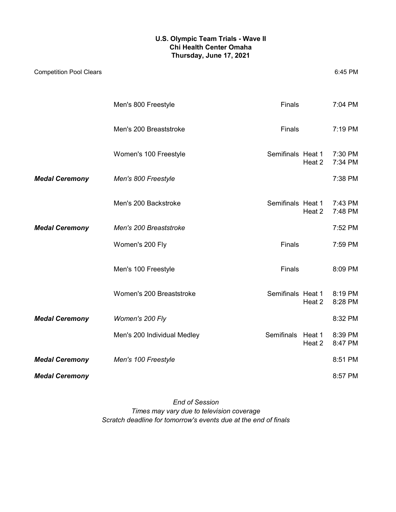#### **U.S. Olympic Team Trials - Wave II Chi Health Center Omaha Thursday, June 17, 2021**

|                       | Men's 800 Freestyle         | <b>Finals</b>             |        | 7:04 PM            |
|-----------------------|-----------------------------|---------------------------|--------|--------------------|
|                       | Men's 200 Breaststroke      | Finals                    |        | 7:19 PM            |
|                       | Women's 100 Freestyle       | Semifinals Heat 1 7:30 PM | Heat 2 | 7:34 PM            |
| <b>Medal Ceremony</b> | Men's 800 Freestyle         |                           |        | 7:38 PM            |
|                       | Men's 200 Backstroke        | Semifinals Heat 1         | Heat 2 | 7:43 PM<br>7:48 PM |
| <b>Medal Ceremony</b> | Men's 200 Breaststroke      |                           |        | 7:52 PM            |
|                       | Women's 200 Fly             | <b>Finals</b>             |        | 7:59 PM            |
|                       | Men's 100 Freestyle         | <b>Finals</b>             |        | 8:09 PM            |
|                       | Women's 200 Breaststroke    | Semifinals Heat 1         | Heat 2 | 8:19 PM<br>8:28 PM |
| <b>Medal Ceremony</b> | Women's 200 Fly             |                           |        | 8:32 PM            |
|                       | Men's 200 Individual Medley | Semifinals Heat 1         | Heat 2 | 8:39 PM<br>8:47 PM |
| <b>Medal Ceremony</b> | Men's 100 Freestyle         |                           |        | 8:51 PM            |
| <b>Medal Ceremony</b> |                             |                           |        | 8:57 PM            |

*End of Session Scratch deadline for tomorrow's events due at the end of finals Times may vary due to television coverage*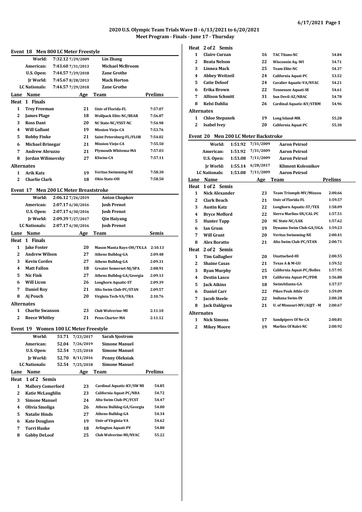#### **2020 U.S. Olympic Team Trials Wave II - 6/13/2021 to 6/20/2021 Meet Program - Finals - June 17 - Thursday**

#### **Event 18 Men 800 LC Meter Freestyle**

|                | Event 18                 | Men 800 LC Meter Freestyle             |                                                              |                | 1                 | <b>Claire Curzan</b>   |         | 16                                   | <b>TAC Titans-NC</b>          | 54.84          |
|----------------|--------------------------|----------------------------------------|--------------------------------------------------------------|----------------|-------------------|------------------------|---------|--------------------------------------|-------------------------------|----------------|
|                | World:                   | 7:32.12 7/29/2009                      | <b>Lin Zhang</b>                                             |                | $\mathbf{2}$      | <b>Beata Nelson</b>    |         | 22                                   | <b>Wisconsin Aq.-WI</b>       | 54.71          |
|                | American:                | 7:43.60 7/31/2013                      | <b>Michael McBroom</b>                                       |                | 3                 | Linnea Mack            |         | 25                                   | <b>Team Elite-NC</b>          | 54.37          |
|                | U.S. Open:               | 7:44.57 7/29/2018                      | <b>Zane Grothe</b>                                           |                | 4                 | <b>Abbey Weitzeil</b>  |         | 24                                   | California Aquat-PC           | 53.52          |
|                | Jr World:                | 7:45.678/28/2013                       | <b>Mack Horton</b>                                           |                | 5                 | <b>Catie Deloof</b>    |         | 24                                   | Cavalier Aquatic-VA/NYAC      | 54.21          |
|                | LC Nationals:            | 7:44.57 7/29/2018                      | <b>Zane Grothe</b>                                           |                | 6                 | Erika Brown            |         | 22                                   | <b>Tennessee Aquati-SE</b>    | 54.61          |
| Lane           | Name                     | Age                                    | Team                                                         | <b>Prelims</b> | 7                 | <b>Allison Schmitt</b> |         | 31                                   | Sun Devil-AZ/NBAC             | 54.78          |
|                | Heat 1 Finals            |                                        |                                                              |                | 8                 | Kelsi Dahlia           |         | 26                                   | Cardinal Aquatic-KY/STRM      | 54.96          |
| 1              | <b>Trey Freeman</b>      | 21                                     | Univ of Florida-FL                                           | 7:57.07        | <b>Alternates</b> |                        |         |                                      |                               |                |
| 2              | <b>James Plage</b>       | 18                                     | <b>Wolfpack Elite-NC/BEAR</b>                                | 7:56.87        | 1                 | <b>Chloe Stepanek</b>  |         | 19                                   | <b>Long Island-MR</b>         | 55.28          |
| 3              | <b>Ross Dant</b>         | 20                                     | NC State-NC/YSST-NC                                          | 7:54.98        | 2                 | <b>Isabel Ivev</b>     |         | 20                                   | California Aquat-PC           | 55.30          |
| 4              | <b>Will Gallant</b>      | 19                                     | <b>Mission Viejo-CA</b>                                      | 7:53.76        |                   |                        |         |                                      |                               |                |
| 5              | <b>Bobby Finke</b>       | 21                                     | Saint Petersburg-FL/FLOR                                     | 7:54.02        |                   |                        |         | Event 20 Men 200 LC Meter Backstroke |                               |                |
| 6              | <b>Michael Brinegar</b>  | 21                                     | <b>Mission Viejo-CA</b>                                      | 7:55.50        |                   | World:                 | 1:51.92 | 7/31/2009                            | <b>Aaron Peirsol</b>          |                |
| 7              | <b>Andrew Abruzzo</b>    | 21                                     | <b>Plymouth Whitema-MA</b>                                   | 7:57.03        |                   | American:              | 1:51.92 | 7/31/2009                            | <b>Aaron Peirsol</b>          |                |
| 8              | <b>Jordan Wilimovsky</b> | 27                                     | <b>KSwim-CA</b>                                              | 7:57.11        |                   | U.S. Open:             | 1:53.08 | 7/11/2009                            | <b>Aaron Peirsol</b>          |                |
|                | <b>Alternates</b>        |                                        |                                                              |                |                   | Ir World:              | 1:55.14 | 6/28/2017                            | <b>Kliment Kolesnikov</b>     |                |
| 1              | <b>Arik Katz</b>         | 19                                     | <b>Veritas Swimming-NE</b>                                   | 7:58.30        |                   | <b>LC</b> Nationals:   | 1:53.08 | 7/11/2009                            | <b>Aaron Peirsol</b>          |                |
| $\overline{2}$ | <b>Charlie Clark</b>     | 18                                     | <b>Ohio State-OH</b>                                         | 7:58.50        | Lane              | Name                   |         | Age                                  | <b>Team</b>                   | <b>Prelims</b> |
|                |                          | Event 17 Men 200 LC Meter Breaststroke |                                                              |                |                   | Heat 1 of 2 Semis      |         |                                      |                               |                |
|                | World:                   | 2:06.12 7/26/2019                      | <b>Anton Chupkov</b>                                         |                | 1                 | <b>Nick Alexander</b>  |         | 23                                   | <b>Team Triumph-MV/Mizzou</b> | 2:00.66        |
|                | American:                | 2:07.17 6/30/2016                      | <b>Josh Prenot</b>                                           |                | $\mathbf{2}$      | <b>Clark Beach</b>     |         | 21                                   | <b>Univ of Florida-FL</b>     | 1:59.57        |
|                | U.S. Open:               | 2:07.17 6/30/2016                      | <b>Josh Prenot</b>                                           |                | 3                 | <b>Austin Katz</b>     |         | 22                                   | Longhorn Aquatic-ST/TEX       | 1:58.09        |
|                | Ir World:                | 2:09.39 7/27/2017                      | Qin Haiyang                                                  |                | 4                 | <b>Bryce Mefford</b>   |         | 22                                   | Sierra Marlins-SN/CAL-PC      | 1:57.51        |
|                | LC Nationals:            | 2:07.17 6/30/2016                      | <b>Josh Prenot</b>                                           |                | 5                 | <b>Hunter Tapp</b>     |         | 20                                   | NC State-NC/LAK               | 1:57.62        |
|                | <b>Name</b>              |                                        | Team                                                         | Semis          | 6                 | <b>Ian Grum</b>        |         | 19                                   | Dynamo Swim Club-GA/UGA       | 1:59.23        |
| Lane           | Heat 1 Finals            | Age                                    |                                                              |                | 7                 | <b>Will Grant</b>      |         | 20                                   | <b>Veritas Swimming-NE</b>    | 2:00.41        |
| 1              | <b>Jake Foster</b>       | 20                                     |                                                              | 2:10.13        | 8                 | <b>Alex Boratto</b>    |         | 21                                   | Alto Swim Club-PC/STAN        | 2:00.71        |
| $\mathbf{2}$   | <b>Andrew Wilson</b>     | 27                                     | <b>Mason Manta Rays-OH/TX:LA</b><br><b>Athens Bulldog-GA</b> | 2:09.48        | <b>Heat</b>       | 2 of 2 Semis           |         |                                      |                               |                |
| 3              | <b>Kevin Cordes</b>      | 27                                     | <b>Athens Bulldog-GA</b>                                     | 2:09.31        | 1                 | <b>Tim Gallagher</b>   |         | 20                                   | Unattached-HI                 | 2:00.5         |
| 4              | <b>Matt Fallon</b>       | 18                                     | Greater Somerset-NJ/SPA                                      | 2:08.91        | $\boldsymbol{2}$  | <b>Shaine Casas</b>    |         | 21                                   | Texas A & M-GU                | 1:59.52        |
| 5              | <b>Nic Fink</b>          | 27                                     | Athens Bulldog-GA/Georgia                                    | 2:09.13        | 3                 | <b>Ryan Murphy</b>     |         | 25                                   | California Aquat-PC/Bolles    | 1:57.9         |
| 6              | <b>Will Licon</b>        | 26                                     | <b>Longhorn Aquatic-ST</b>                                   | 2:09.39        | 4                 | <b>Destin Lasco</b>    |         | 19                                   | California Aquat-PC/PDR       | 1:56.88        |
| 7              | <b>Daniel Roy</b>        | 21                                     | Alto Swim Club-PC/STAN                                       | 2:09.57        | 5                 | <b>Jack Aikins</b>     |         | 18                                   | SwimAtlanta-GA                | 1:57.57        |
| 8              | Aj Pouch                 | 20                                     |                                                              | 2:10.76        | 6                 | <b>Daniel Carr</b>     |         | 22                                   | <b>Pikes Peak Athle-CO</b>    | 1:59.09        |
|                |                          |                                        | Virginia Tech-VA/TRA                                         |                | 7                 | <b>Jacob Steele</b>    |         | 22                                   | <b>Indiana Swim-IN</b>        | 2:00.28        |
|                | <b>Alternates</b>        |                                        |                                                              |                | 8                 | <b>Jack Dahlgren</b>   |         | 21                                   | U. of Missouri-MV/AQJT - M    | 2:00.67        |
| 1              | <b>Charlie Swanson</b>   | 23                                     | <b>Club Wolverine-MI</b>                                     | 2:11.10        | <b>Alternates</b> |                        |         |                                      |                               |                |
| 2              | <b>Reece Whitley</b>     | 21                                     | Penn Charter-MA                                              | 2:11.12        | 1                 | <b>Nick Simons</b>     |         | 17                                   | <b>Sandpipers Of Ne-CA</b>    | 2:00.8         |
|                |                          | Event 19 Women 100 LC Meter Freestyle  |                                                              |                | $\mathbf{2}$      | <b>Mikey Moore</b>     |         | 19                                   | <b>Marlins Of Ralei-NC</b>    | 2:00.92        |

|      | World:                   | 51.71 | 7/23/2017 | Sarah Sjostrom             |                |
|------|--------------------------|-------|-----------|----------------------------|----------------|
|      | American:                | 52.04 | 7/26/2019 | <b>Simone Manuel</b>       |                |
|      | U.S. Open:               | 52.54 | 7/25/2018 | <b>Simone Manuel</b>       |                |
|      | Ir World:                | 52.70 | 8/11/2016 | Penny Oleksiak             |                |
|      | <b>LC Nationals:</b>     | 52.54 | 7/25/2018 | <b>Simone Manuel</b>       |                |
| Lane | Name                     |       | Age       | Team                       | <b>Prelims</b> |
| Heat | 1 of 2 Semis             |       |           |                            |                |
| 1    | <b>Mallory Comerford</b> |       | 23        | Cardinal Aquatic-KY/SW MI  | 54.85          |
| 2    | Katie McLaughlin         |       | 23        | California Aquat-PC/NBA    | 54.72          |
| 3    | <b>Simone Manuel</b>     |       | 24        | Alto Swim Club-PC/FCST     | 54.47          |
| 4    | Olivia Smoliga           |       | 26        | Athens Bulldog-GA/Georgia  | 54.00          |
| 5    | <b>Natalie Hinds</b>     |       | 27        | <b>Athens Bulldog-GA</b>   | 54.34          |
| 6    | <b>Kate Douglass</b>     |       | 19        | Univ of Virginia-VA        | 54.62          |
| 7    | Torri Huske              |       | 18        | <b>Arlington Aquati-PV</b> | 54.80          |
| 8    | <b>Gabby DeLoof</b>      |       | 25        | Club Wolverine-MI/NYAC     | 55.22          |
|      |                          |       |           |                            |                |

**Heat 2 of 2 Semis**

| 1                       | <b>Claire Curzan</b>                                          | 16 | <b>TAC Titans-NC</b>            | 54.84 |  |  |  |  |
|-------------------------|---------------------------------------------------------------|----|---------------------------------|-------|--|--|--|--|
| 2                       | <b>Beata Nelson</b>                                           | 22 | <b>Wisconsin Aq.-WI</b>         | 54.71 |  |  |  |  |
| 3                       | Linnea Mack                                                   | 25 | <b>Team Elite-NC</b>            | 54.37 |  |  |  |  |
| $\overline{\mathbf{4}}$ | <b>Abbey Weitzeil</b>                                         | 24 | California Aquat-PC             | 53.52 |  |  |  |  |
| 5                       | <b>Catie Deloof</b>                                           | 24 | <b>Cavalier Aquatic-VA/NYAC</b> | 54.21 |  |  |  |  |
| 6                       | Erika Brown                                                   | 22 | <b>Tennessee Aquati-SE</b>      | 54.61 |  |  |  |  |
| 7                       | <b>Allison Schmitt</b>                                        | 31 | <b>Sun Devil-AZ/NBAC</b>        | 54.78 |  |  |  |  |
| 8                       | Kelsi Dahlia                                                  | 26 | Cardinal Aquatic-KY/STRM        | 54.96 |  |  |  |  |
| <b>Alternates</b>       |                                                               |    |                                 |       |  |  |  |  |
| 1                       | <b>Chloe Stepanek</b><br>19<br><b>Long Island-MR</b><br>55.28 |    |                                 |       |  |  |  |  |
| 2                       | <b>Isabel Ivev</b><br>20<br>California Aquat-PC<br>55.30      |    |                                 |       |  |  |  |  |
|                         | <b>Men 200 LC Meter Backstroke</b><br>Event 20                |    |                                 |       |  |  |  |  |

|                   | World:                | 1:51.92 | 7/31/2009 | <b>Aaron Peirsol</b>           |         |
|-------------------|-----------------------|---------|-----------|--------------------------------|---------|
|                   | American:             | 1:51.92 | 7/31/2009 | <b>Aaron Peirsol</b>           |         |
|                   | U.S. Open:            | 1:53.08 | 7/11/2009 | <b>Aaron Peirsol</b>           |         |
|                   | Ir World:             | 1:55.14 | 6/28/2017 | <b>Kliment Kolesnikov</b>      |         |
|                   | <b>LC</b> Nationals:  | 1:53.08 | 7/11/2009 | <b>Aaron Peirsol</b>           |         |
| Lane              | <b>Name</b>           |         | Age       | Team                           | Prelims |
| Heat              | 1 of 2 Semis          |         |           |                                |         |
| $\mathbf{1}$      | <b>Nick Alexander</b> |         | 23        | <b>Team Triumph-MV/Mizzou</b>  | 2:00.66 |
| $\mathbf{2}$      | <b>Clark Beach</b>    |         | 21        | <b>Univ of Florida-FL</b>      | 1:59.57 |
| 3                 | <b>Austin Katz</b>    |         | 22        | <b>Longhorn Aquatic-ST/TEX</b> | 1:58.09 |
| 4                 | <b>Bryce Mefford</b>  |         | 22        | Sierra Marlins-SN/CAL-PC       | 1:57.51 |
| 5                 | <b>Hunter Tapp</b>    |         | 20        | <b>NC State-NC/LAK</b>         | 1:57.62 |
| 6                 | <b>Ian Grum</b>       |         | 19        | Dynamo Swim Club-GA/UGA        | 1:59.23 |
| 7                 | <b>Will Grant</b>     |         | 20        | <b>Veritas Swimming-NE</b>     | 2:00.41 |
| 8                 | <b>Alex Boratto</b>   |         | 21        | Alto Swim Club-PC/STAN         | 2:00.71 |
| Heat              | 2 of 2 Semis          |         |           |                                |         |
| $\mathbf{1}$      | <b>Tim Gallagher</b>  |         | 20        | <b>Unattached-HI</b>           | 2:00.55 |
| 2                 | <b>Shaine Casas</b>   |         | 21        | Texas A & M-GU                 | 1:59.52 |
| 3                 | <b>Ryan Murphy</b>    |         | 25        | California Aquat-PC/Bolles     | 1:57.95 |
| 4                 | <b>Destin Lasco</b>   |         | 19        | California Aquat-PC/PDR        | 1:56.88 |
| 5                 | <b>Jack Aikins</b>    |         | 18        | SwimAtlanta-GA                 | 1:57.57 |
| 6                 | <b>Daniel Carr</b>    |         | 22        | <b>Pikes Peak Athle-CO</b>     | 1:59.09 |
| 7                 | <b>Jacob Steele</b>   |         | 22        | <b>Indiana Swim-IN</b>         | 2:00.28 |
| 8                 | <b>Jack Dahlgren</b>  |         | 21        | U. of Missouri-MV/AQJT - M     | 2:00.67 |
| <b>Alternates</b> |                       |         |           |                                |         |
| 1                 | <b>Nick Simons</b>    |         | 17        | Sandpipers Of Ne-CA            | 2:00.81 |
| $\overline{2}$    | <b>Mikey Moore</b>    |         | 19        | <b>Marlins Of Ralei-NC</b>     | 2:00.92 |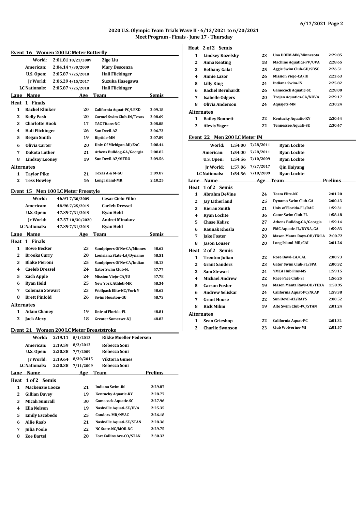#### **2020 U.S. Olympic Team Trials Wave II - 6/13/2021 to 6/20/2021 Meet Program - Finals - June 17 - Thursday**

**Heat 2 of 2 Semis**

|                   |                                          |                    |                                 |                |        | Heat 2 of 2 Semis     |                         |                              |          |                                  |         |
|-------------------|------------------------------------------|--------------------|---------------------------------|----------------|--------|-----------------------|-------------------------|------------------------------|----------|----------------------------------|---------|
|                   | Event 16 Women 200 LC Meter Butterfly    |                    |                                 |                | 1      |                       | <b>Lindsey Kozelsky</b> | 23                           |          | Una UOFM-MN/Minnesota            | 2:29.8  |
|                   | World:                                   | 2:01.81 10/21/2009 | <b>Zige Liu</b>                 |                | 2      | <b>Anna Keating</b>   |                         | 18                           |          | <b>Machine Aquatics-PV/UVA</b>   | 2:28.6  |
|                   | American:                                | 2:04.14 7/30/2009  | <b>Mary Descenza</b>            |                | 3      |                       | <b>Bethany Galat</b>    | 25                           |          | Aggie Swim Club-GU/SBSC          | 2:26.5  |
|                   | U.S. Open:                               | 2:05.87 7/25/2018  | Hali Flickinger                 |                | 4      | <b>Annie Lazor</b>    |                         | 26                           |          | <b>Mission Viejo-CA/IU</b>       | 2:23.6. |
|                   | Jr World:                                | 2:06.29 4/15/2017  | Suzuka Hasegawa                 |                | 5      | <b>Lilly King</b>     |                         | 24                           |          | <b>Indiana Swim-IN</b>           | 2:25.82 |
|                   | LC Nationals:                            | 2:05.87 7/25/2018  | <b>Hali Flickinger</b>          |                | 6      |                       | <b>Rachel Bernhardt</b> | 26                           |          | <b>Gamecock Aquatic-SC</b>       | 2:28.00 |
|                   | Lane Name                                | <u>Age</u>         | Team                            | <b>Semis</b>   | 7      |                       | <b>Isabelle Odgers</b>  | 20                           |          | <b>Trojan Aquatics-CA/NOVA</b>   | 2:29.17 |
|                   | Heat 1 Finals                            |                    |                                 |                | 8      |                       | Olivia Anderson         | 24                           |          | <b>Aquajets-MN</b>               | 2:30.24 |
| 1                 | <b>Rachel Klinker</b>                    | 20                 | California Aquat-PC/LEXD        | 2:09.18        |        | <b>Alternates</b>     |                         |                              |          |                                  |         |
| 2                 | <b>Kelly Pash</b>                        | 20                 | Carmel Swim Club-IN/Texas       | 2:08.69        | 1      |                       | <b>Bailey Bonnett</b>   | 22                           |          | <b>Kentucky Aquatic-KY</b>       | 2:30.44 |
| 3                 | <b>Charlotte Hook</b>                    | 17                 | <b>TAC Titans-NC</b>            | 2:08.08        | 2      | <b>Alexis Yager</b>   |                         | 22                           |          | <b>Tennessee Aquati-SE</b>       | 2:30.4  |
| 4                 | Hali Flickinger                          | 26                 | <b>Sun Devil-AZ</b>             | 2:06.73        |        |                       |                         |                              |          |                                  |         |
| 5                 | <b>Regan Smith</b>                       | 19                 | Riptide-MN                      | 2:07.89        |        |                       |                         | Event 22 Men 200 LC Meter IM |          |                                  |         |
| 6                 | Olivia Carter                            | 20                 | Univ Of Michigan-MI/EAC         | 2:08.44        |        | World:                |                         | 1:54.00 7/28/2011            |          | <b>Ryan Lochte</b>               |         |
| 7                 | Dakota Luther                            | 21                 | Athens Bulldog-GA/Georgia       | 2:08.82        |        | American:             | 1:54.00                 | 7/28/2011                    |          | <b>Ryan Lochte</b>               |         |
| 8                 | <b>Lindsay Looney</b>                    | 19                 | Sun Devil-AZ/MTRO               | 2:09.56        |        | U.S. Open:            | 1:54.56                 | 7/10/2009                    |          | <b>Ryan Lochte</b>               |         |
| <b>Alternates</b> |                                          |                    |                                 |                |        | Jr World:             | 1:57.06                 | 7/27/2017                    |          | <b>Qin Haiyang</b>               |         |
| 1                 | <b>Taylor Pike</b>                       | 21                 | Texas A & M-GU                  | 2:09.87        |        | <b>LC</b> Nationals:  | 1:54.56                 | 7/10/2009                    |          | <b>Ryan Lochte</b>               |         |
| 2                 | <b>Tess Howley</b>                       | 16                 | Long Island-MR                  | 2:10.25        |        | Lane Name             |                         |                              | Age Team |                                  | Prelims |
|                   |                                          |                    |                                 |                |        | Heat 1 of 2 Semis     |                         |                              |          |                                  |         |
|                   | Event 15 Men 100 LC Meter Freestyle      |                    |                                 |                | 1      |                       | <b>Abrahm DeVine</b>    | 24                           |          | <b>Team Elite-NC</b>             | 2:01.20 |
|                   | World:                                   | 46.917/30/2009     | <b>Cesar Cielo Filho</b>        |                | 2      | <b>Jay Litherland</b> |                         | 25                           |          | Dynamo Swim Club-GA              | 2:00.43 |
|                   | American:                                | 46.96 7/25/2019    | <b>Caeleb Dressel</b>           |                | 3      | <b>Kieran Smith</b>   |                         | 21                           |          | Univ of Florida-FL/RAC           | 1:59.31 |
|                   | U.S. Open:                               | 47.39 7/31/2019    | <b>Ryan Held</b>                |                | 4      | <b>Ryan Lochte</b>    |                         | 36                           |          | <b>Gator Swim Club-FL</b>        | 1:58.48 |
|                   | Jr World:                                | 47.57 10/30/2020   | Andrei Minakov                  |                | 5      | <b>Chase Kalisz</b>   |                         | 27                           |          | Athens Bulldog-GA/Georgia        | 1:59.14 |
|                   | LC Nationals:                            | 47.39 7/31/2019    | <b>Ryan Held</b>                |                | 6      |                       | Raunak Khosla           | 20                           |          | FMC Aquatic-IL/DYNA, GA          | 1:59.8  |
|                   | Lane Name                                | <u>Age</u>         | <b>Team</b>                     | Semis          | 7      | <b>Jake Foster</b>    |                         | 20                           |          | <b>Mason Manta Rays-OH/TX:LA</b> | 2:00.7  |
|                   | Heat 1 Finals                            |                    |                                 |                | 8      | <b>Jason Louser</b>   |                         | 20                           |          | Long Island-MR/CAL               | 2:01.20 |
| 1                 | <b>Bowe Becker</b>                       | 23                 | Sandpipers Of Ne-CA/Minnes      | 48.62          | Heat   | 2 of 2 Semis          |                         |                              |          |                                  |         |
| 2                 | <b>Brooks Curry</b>                      | 20                 | Louisiana State-LA/Dynamo       | 48.51          | 1      |                       | <b>Trenton Julian</b>   | 22                           |          | Rose Bowl-CA/CAL                 | 2:00.73 |
| 3                 | <b>Blake Pieroni</b>                     | 25                 | Sandpipers Of Ne-CA/Indian      | 48.13          | 2      |                       | <b>Grant Sanders</b>    | 23                           |          | Gator Swim Club-FL/SPA           | 2:00.32 |
| 4                 | <b>Caeleb Dressel</b>                    | 24                 | <b>Gator Swim Club-FL</b>       | 47.77          | 3      | <b>Sam Stewart</b>    |                         | 24                           |          | <b>YMCA Hub Fins-MS</b>          | 1:59.1  |
| 5                 | <b>Zach Apple</b>                        | 24                 | Mission Viejo-CA/IU             | 47.78          | 4      |                       | <b>Michael Andrew</b>   | 22                           |          | Race Pace Club-SI                | 1:56.2! |
| 6                 | <b>Ryan Held</b>                         | 25                 | <b>New York Athleti-MR</b>      | 48.34          | 5      | <b>Carson Foster</b>  |                         | 19                           |          | <b>Mason Manta Rays-OH/TEXA</b>  | 1:58.9  |
| 7                 | <b>Coleman Stewart</b>                   | 23                 | <b>Wolfpack Elite-NC/York Y</b> | 48.62          | 6      |                       | <b>Andrew Seliskar</b>  | 24                           |          | California Aquat-PC/NCAP         | 1:59.38 |
| 8                 | <b>Brett Pinfold</b>                     | 26                 | <b>Swim Houston-GU</b>          | 48.73          | 7      | <b>Grant House</b>    |                         | 22                           |          | Sun Devil-AZ/RAYS                | 2:00.52 |
| <b>Alternates</b> |                                          |                    |                                 |                | 8      | <b>Rick Mihm</b>      |                         | 19                           |          | Alto Swim Club-PC/STAN           | 2:01.24 |
| 1                 | <b>Adam Chaney</b>                       | 19                 | <b>Univ of Florida-FL</b>       | 48.81          |        | <b>Alternates</b>     |                         |                              |          |                                  |         |
|                   | Jack Alexy                               | 18                 | <b>Greater Somerset-NJ</b>      | 48.82          |        |                       | <b>Sean Grieshop</b>    | 22                           |          | California Aquat-PC              | 2:01.31 |
|                   |                                          |                    |                                 |                | 1<br>2 |                       | <b>Charlie Swanson</b>  | 23                           |          | <b>Club Wolverine-MI</b>         | 2:01.57 |
|                   | Event 21 Women 200 LC Meter Breaststroke |                    |                                 |                |        |                       |                         |                              |          |                                  |         |
|                   | World:                                   | 2:19.11 8/1/2013   | <b>Rikke Moeller Pedersen</b>   |                |        |                       |                         |                              |          |                                  |         |
|                   | American:                                | 2:19.59 8/2/2012   | Rebecca Soni                    |                |        |                       |                         |                              |          |                                  |         |
|                   | U.S. Open:                               | 2:20.38 7/7/2009   | Rebecca Soni                    |                |        |                       |                         |                              |          |                                  |         |
|                   | Jr World:                                | 2:19.64 8/30/2015  | <b>Viktoria Gunes</b>           |                |        |                       |                         |                              |          |                                  |         |
|                   | LC Nationals:                            | 2:20.38 7/11/2009  | Rebecca Soni                    |                |        |                       |                         |                              |          |                                  |         |
|                   | Lane Name                                |                    | Age Team                        | <u>Prelims</u> |        |                       |                         |                              |          |                                  |         |
|                   | Heat 1 of 2 Semis                        |                    |                                 |                |        |                       |                         |                              |          |                                  |         |
| 1                 | Mackenzie Looze                          | 21                 | <b>Indiana Swim-IN</b>          | 2:29.87        |        |                       |                         |                              |          |                                  |         |
| 2                 | <b>Gillian Davey</b>                     | 19                 | <b>Kentucky Aquatic-KY</b>      | 2:28.77        |        |                       |                         |                              |          |                                  |         |
| 3                 | <b>Micah Sumrall</b>                     | 30                 | Gamecock Aquatic-SC             | 2:27.96        |        |                       |                         |                              |          |                                  |         |
| 4                 | <b>Ella Nelson</b>                       | 19                 | Nashville Aquati-SE/UVA         | 2:25.35        |        |                       |                         |                              |          |                                  |         |
| 5                 | <b>Emily Escobedo</b>                    | 25                 | Condors-MR/NYAC                 | 2:26.18        |        |                       |                         |                              |          |                                  |         |
|                   |                                          |                    |                                 |                |        |                       |                         |                              |          |                                  |         |

**Nashville Aquati-SE/STAN 2:28.36 NC State-NC/MOR-NC 2:29.75 Fort Collins Are-CO/STAN 2:30.32**

**6 Allie Raab 21 7** Julia Poole **8** Zoe Bartel

| 1                       | <b>Lindsey Kozelsky</b>         | 23        | Una UOFM-MN/Minnesota           | 2:29.85 |
|-------------------------|---------------------------------|-----------|---------------------------------|---------|
| $\mathbf{2}$            | <b>Anna Keating</b>             | 18        | <b>Machine Aquatics-PV/UVA</b>  | 2:28.65 |
| 3                       | <b>Bethany Galat</b>            | 25        | Aggie Swim Club-GU/SBSC         | 2:26.51 |
| $\overline{\mathbf{4}}$ | <b>Annie Lazor</b>              | 26        | <b>Mission Viejo-CA/IU</b>      | 2:23.63 |
| 5                       | <b>Lilly King</b>               | 24        | <b>Indiana Swim-IN</b>          | 2:25.82 |
| 6                       | <b>Rachel Bernhardt</b>         | 26        | <b>Gamecock Aquatic-SC</b>      | 2:28.00 |
| 7                       | <b>Isabelle Odgers</b>          | 20        | <b>Trojan Aquatics-CA/NOVA</b>  | 2:29.17 |
| 8                       | <b>Olivia Anderson</b>          | 24        | <b>Aquajets-MN</b>              | 2:30.24 |
| Alternates              |                                 |           |                                 |         |
| $\mathbf{1}$            | <b>Bailey Bonnett</b>           | 22        | <b>Kentucky Aquatic-KY</b>      | 2:30.44 |
| $\overline{2}$          | <b>Alexis Yager</b>             | 22        | <b>Tennessee Aquati-SE</b>      | 2:30.47 |
|                         | Event 22 Men 200 LC Meter IM    |           |                                 |         |
|                         | World:<br>1:54.00               | 7/28/2011 | <b>Ryan Lochte</b>              |         |
|                         | American:<br>1:54.00            | 7/28/2011 | <b>Ryan Lochte</b>              |         |
|                         | U.S. Open:<br>1:54.56           | 7/10/2009 | <b>Ryan Lochte</b>              |         |
|                         | Ir World:<br>1:57.06            | 7/27/2017 | <b>Qin Haiyang</b>              |         |
|                         | <b>LC</b> Nationals:<br>1:54.56 | 7/10/2009 | <b>Ryan Lochte</b>              |         |
|                         | Lane Name                       | Age Team  |                                 | Prelims |
| Heat                    | 1 of 2 Semis                    |           |                                 |         |
| 1                       | <b>Abrahm DeVine</b>            | 24        | <b>Team Elite-NC</b>            | 2:01.20 |
| $\boldsymbol{2}$        |                                 | 25        | <b>Dynamo Swim Club-GA</b>      | 2:00.43 |
|                         | Jay Litherland                  |           |                                 |         |
| 3                       | <b>Kieran Smith</b>             | 21        | Univ of Florida-FL/RAC          | 1:59.31 |
| $\overline{\mathbf{4}}$ | <b>Ryan Lochte</b>              | 36        | <b>Gator Swim Club-FL</b>       | 1:58.48 |
| 5                       | <b>Chase Kalisz</b>             | 27        | Athens Bulldog-GA/Georgia       | 1:59.14 |
| 6                       | Raunak Khosla                   | 20        | FMC Aquatic-IL/DYNA, GA         | 1:59.83 |
| 7                       | <b>Jake Foster</b>              | 20        | Mason Manta Rays-OH/TX:LA       | 2:00.72 |
| 8                       | <b>Jason Louser</b>             | 20        | Long Island-MR/CAL              | 2:01.26 |
| Heat                    | 2 of 2 Semis                    |           |                                 |         |
| 1                       | <b>Trenton Julian</b>           | 22        | <b>Rose Bowl-CA/CAL</b>         | 2:00.73 |
| $\mathbf{2}$            | <b>Grant Sanders</b>            | 23        | Gator Swim Club-FL/SPA          | 2:00.32 |
| 3                       | <b>Sam Stewart</b>              | 24        | <b>YMCA Hub Fins-MS</b>         | 1:59.15 |
| 4                       | <b>Michael Andrew</b>           | 22        | <b>Race Pace Club-SI</b>        | 1:56.25 |
| 5                       | <b>Carson Foster</b>            | 19        | <b>Mason Manta Rays-OH/TEXA</b> | 1:58.95 |
| 6                       | <b>Andrew Seliskar</b>          | 24        | California Aquat-PC/NCAP        | 1:59.38 |
| 7                       | <b>Grant House</b>              | 22        | Sun Devil-AZ/RAYS               | 2:00.52 |
| 8                       | <b>Rick Mihm</b>                | 19        | Alto Swim Club-PC/STAN          | 2:01.24 |
| Alternates              |                                 |           |                                 |         |
| 1                       | <b>Sean Grieshop</b>            | 22        | California Aquat-PC             | 2:01.31 |